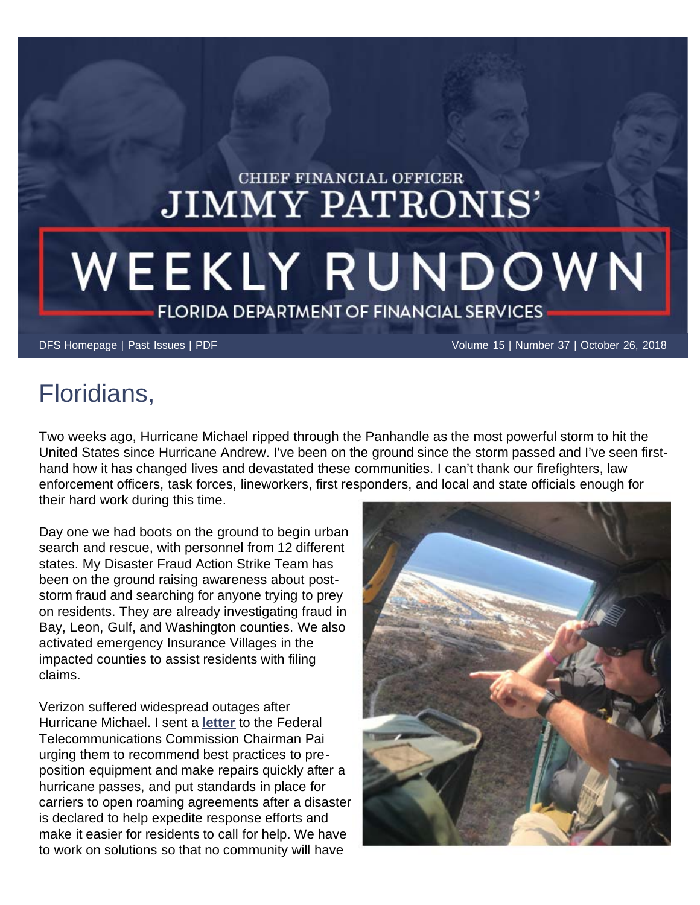## CHIEF FINANCIAL OFFICER **JIMMY PATRONIS'**

## WEEKLY RUNDOWN **FLORIDA DEPARTMENT OF FINANCIAL SERVICES**

[DFS Homepage](https://www.myfloridacfo.com/) | [Past Issues](https://www.myfloridacfo.com/pressoffice/newsletter/2018/archive/newsletterarchive0118.htm) | [PDF](https://www.myfloridacfo.com/pressoffice/newsletter/2018/102618/October_2618.pdf) Volume 15 | Number 37 | October 26, 2018

## Floridians,

Two weeks ago, Hurricane Michael ripped through the Panhandle as the most powerful storm to hit the United States since Hurricane Andrew. I've been on the ground since the storm passed and I've seen firsthand how it has changed lives and devastated these communities. I can't thank our firefighters, law enforcement officers, task forces, lineworkers, first responders, and local and state officials enough for their hard work during this time.

Day one we had boots on the ground to begin urban search and rescue, with personnel from 12 different states. My Disaster Fraud Action Strike Team has been on the ground raising awareness about poststorm fraud and searching for anyone trying to prey on residents. They are already investigating fraud in Bay, Leon, Gulf, and Washington counties. We also activated emergency Insurance Villages in the impacted counties to assist residents with filing claims.

Verizon suffered widespread outages after Hurricane Michael. I sent a **[letter](https://www.myfloridacfo.com/docs/10-19-18_CFOPatronisLettertoFederalCommunicationsCommission.pdf)** to the Federal Telecommunications Commission Chairman Pai urging them to recommend best practices to preposition equipment and make repairs quickly after a hurricane passes, and put standards in place for carriers to open roaming agreements after a disaster is declared to help expedite response efforts and make it easier for residents to call for help. We have to work on solutions so that no community will have